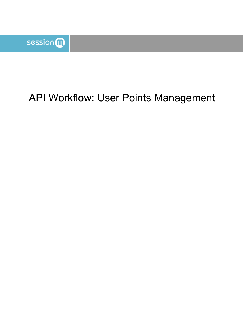

# API Workflow: User Points Management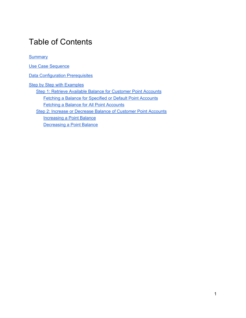### Table of Contents

**[Summary](#page-2-0)** 

Use Case [Sequence](#page-2-1)

**Data [Configuration](#page-2-2) Prerequisites** 

**Step by Step with [Examples](#page-2-3)** Step 1: Retrieve Available Balance for [Customer](#page-3-0) Point Accounts Fetching a Balance for [Specified](#page-3-1) or Default Point Accounts Fetching a Balance for All Point [Accounts](#page-5-0) Step 2: Increase or Decrease Balance of [Customer](#page-6-0) Point Accounts [Increasing](#page-6-1) a Point Balance [Decreasing](#page-9-0) a Point Balance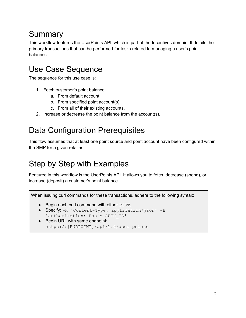## <span id="page-2-0"></span>**Summary**

This workflow features the UserPoints API, which is part of the Incentives domain. It details the primary transactions that can be performed for tasks related to managing a user's point balances.

## <span id="page-2-1"></span>Use Case Sequence

The sequence for this use case is:

- 1. Fetch customer's point balance:
	- a. From default account.
	- b. From specified point account(s).
	- c. From all of their existing accounts.
- 2. Increase or decrease the point balance from the account(s).

## <span id="page-2-2"></span>Data Configuration Prerequisites

This flow assumes that at least one point source and point account have been configured within the SMP for a given retailer.

## <span id="page-2-3"></span>Step by Step with Examples

Featured in this workflow is the UserPoints API. It allows you to fetch, decrease (spend), or increase (deposit) a customer's point balance.

When issuing curl commands for these transactions, adhere to the following syntax:

- Begin each curl command with either POST.
- Specify: -H 'Content-Type: application/json' -H 'authorization: Basic AUTH\_ID'
- Begin URL with same endpoint: https://[ENDPOINT]/api/1.0/user\_points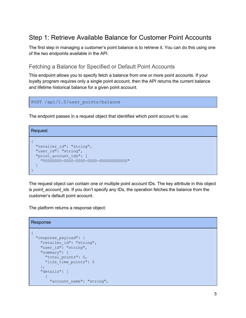### <span id="page-3-0"></span>Step 1: Retrieve Available Balance for Customer Point Accounts

The first step in managing a customer's point balance is to retrieve it. You can do this using one of the two endpoints available in the API.

#### <span id="page-3-1"></span>Fetching a Balance for Specified or Default Point Accounts

This endpoint allows you to specify fetch a balance from one or more point accounts. If your loyalty program requires only a single point account, then the API returns the current balance and lifetime historical balance for a given point account.

```
POST /api/1.0/user_points/balance
```
The endpoint passes in a request object that identifies which point account to use.

```
Request
{
  "retailer id": "string",
 "user_id": "string",
  "point_account_ids": [
    "00000000-0000-0000-0000-000000000000"
  \mathbf{I}}
```
The request object can contain one or multiple point account IDs. The key attribute in this object is *point\_account\_ids*. If you don't specify any IDs, the operation fetches the balance from the customer's default point account.

The platform returns a response object:

```
Response
{
 "response_payload": {
   "retailer id": "string",
    "user_id": "string",
    "summary": {
      "total points": 0,
      "life time points": 0
    },
    "details": [
      {
        "account name": "string",
```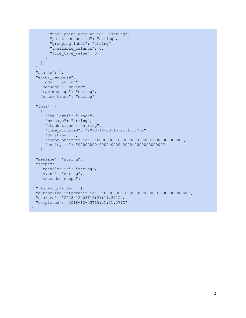```
"user point account id": "string",
        "point account id": "string",
        "grouping_label": "string",
        "available balance": 0,
        "life time value": 0
      }
   ]
 },
 "status": 0,
 "error response": {
   "code": "string",
   "message": "string",
   "raw message": "string",
   "stack trace": "string"
 },
  "logs": [
   {
     "log_level": "Trace",
     "message": "string",
     "stack trace": "string",
     "time_occurred": "2018-12-03T15:21:11.371Z",
      "duration": 0,
      "scope_observer_id": "00000000-0000-0000-0000-000000000000",
      "entity_id": "00000000-0000-0000-0000-000000000000"
  }
 \frac{1}{2},
 "message": "string",
 "scope": {
   "retailer id": "string",
   "event": "string",
   "extended_scope": {}
 },
 "request_payload": {},
 "authorized_integrator_id": "00000000-0000-0000-0000-000000000000",
 "started": "2018-12-03T15:21:11.371Z",
 "completed": "2018-12-03T15:21:11.371Z"
}
```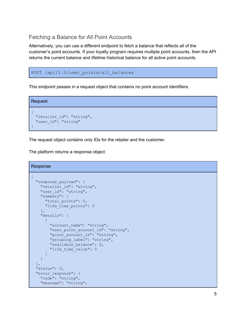### <span id="page-5-0"></span>Fetching a Balance for All Point Accounts

Alternatively, you can use a different endpoint to fetch a balance that reflects all of the customer's point accounts. If your loyalty program requires multiple point accounts, then the API returns the current balance and lifetime historical balance for all active point accounts.

```
POST /api/1.0/user points/all balances
```
This endpoint passes in a request object that contains no point account identifiers.

```
Request
{
  "retailer id": "string",
 "user_id": "string"
}
```
The request object contains only IDs for the retailer and the customer.

The platform returns a response object:

```
Response
{
  "response_payload": {
   "retailer_id": "string",
   "user_id": "string",
    "summary": {
      "total points": 0,
      "life time points": 0
   },
    "details": [
      \left\{ \right."account name": "string",
       "user point account id": "string",
       "point_account_id": "string",
       "grouping_label": "string",
        "available_balance": 0,
        "life time value": 0
      }
   ]
  },
 "status": 0,
  "error response": {
   "code": "string",
   "message": "string",
```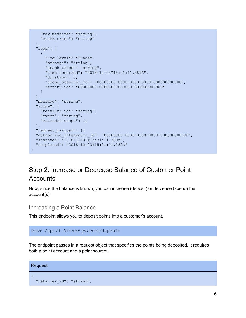```
"raw message": "string",
   "stack trace": "string"
 },
 "logs": [
   \{"log_level": "Trace",
     "message": "string",
     "stack trace": "string",
     "time_occurred": "2018-12-03T15:21:11.389Z",
     "duration": 0,
     "scope_observer_id": "00000000-0000-0000-0000-000000000000",
     "entity_id": "00000000-0000-0000-0000-000000000000"
   }
 ],
 "message": "string",
 "scope": {
   "retailer_id": "string",
   "event": "string",
   "extended_scope": {}
 },
 "request_payload": {},
 "authorized_integrator_id": "00000000-0000-0000-0000-000000000000",
 "started": "2018-12-03T15:21:11.389Z",
 "completed": "2018-12-03T15:21:11.389Z"
}
```
### <span id="page-6-0"></span>Step 2: Increase or Decrease Balance of Customer Point **Accounts**

Now, since the balance is known, you can increase (deposit) or decrease (spend) the account(s).

<span id="page-6-1"></span>Increasing a Point Balance

This endpoint allows you to deposit points into a customer's account.

```
POST /api/1.0/user_points/deposit
```
The endpoint passes in a request object that specifies the points being deposited. It requires both a point account and a point source:

```
Request
{
  "retailer id": "string",
```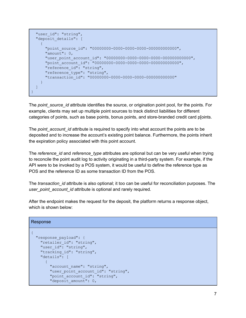```
"user_id": "string",
 "deposit details": [
    {
      "point_source_id": "00000000-0000-0000-0000-000000000000",
     "amount": 0,
     "user_point_account_id": "00000000-0000-0000-0000-000000000000",
     "point_account_id": "00000000-0000-0000-0000-000000000000",
     "reference_id": "string",
     "reference type": "string",
     "transaction_id": "00000000-0000-0000-0000-000000000000"
   }
 ]
}
```
The *point* source id attribute identifies the source, or origination point pool, for the points. For example, clients may set up multiple point sources to track distinct liabilities for different categories of points, such as base points, bonus points, and store-branded credit card p[oints.

The *point* account id attribute is required to specify into what account the points are to be deposited and to increase the account's existing point balance. Furthermore, the points inherit the expiration policy associated with this point account.

The *reference\_id* and *reference\_type* attributes are optional but can be very useful when trying to reconcile the point audit log to activity originating in a third-party system. For example, if the API were to be invoked by a POS system, it would be useful to define the reference type as POS and the reference ID as some transaction ID from the POS.

The *transaction\_id* attribute is also optional; it too can be useful for reconciliation purposes. The *user\_point\_account\_id* attribute is optional and rarely required.

After the endpoint makes the request for the deposit, the platform returns a response object, which is shown below:

```
Response
```

```
{
 "response_payload": {
   "retailer_id": "string",
    "user_id": "string",
    "tracking id": "string",
    "details": [
      {
        "account name": "string",
        "user point account id": "string",
        "point account id": "string",
        "deposit amount": 0,
```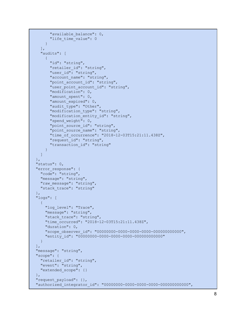```
"available balance": 0,
      "life time value": 0
    }
  \left| \cdot \right|"audits": [
    \left\{ \right."id": "string",
      "retailer_id": "string",
      "user_id": "string",
      "account name": "string",
      "point account id": "string",
      "user point account id": "string",
      "modification": 0,
      "amount_spent": 0,
      "amount expired": 0,
      "audit_type": "Other",
      "modification type": "string",
      "modification entity id": "string",
      "spend weight": 0,
      "point source id": "string",
      "point source name": "string",
      "time_of_occurrence": "2018-12-03T15:21:11.438Z",
      "request_id": "string",
      "transaction_id": "string"
    }
  ]
},
"status": 0,
"error response": {
 "code": "string",
  "message": "string",
  "raw message": "string",
  "stack trace": "string"
},
"logs": [
 {
    "log_level": "Trace",
    "message": "string",
    "stack trace": "string",
    "time_occurred": "2018-12-03T15:21:11.438Z",
    "duration": 0,
    "scope_observer_id": "00000000-0000-0000-0000-000000000000",
    "entity_id": "00000000-0000-0000-0000-000000000000"
 }
\vert,
"message": "string",
"scope": {
  "retailer id": "string",
  "event": "string",
  "extended_scope": {}
},
"request_payload": {},
"authorized_integrator_id": "00000000-0000-0000-0000-000000000000",
```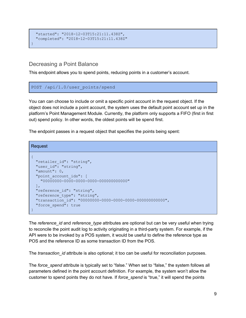```
"started": "2018-12-03T15:21:11.438Z",
 "completed": "2018-12-03T15:21:11.438Z"
}
```
### <span id="page-9-0"></span>Decreasing a Point Balance

This endpoint allows you to spend points, reducing points in a customer's account.

#### POST /api/1.0/user points/spend

You can can choose to include or omit a specific point account in the request object. If the object does not include a point account, the system uses the default point account set up in the platform's Point Management Module. Currently, the platform only supports a FIFO (first in first out) spend policy. In other words, the oldest points will be spend first.

The endpoint passes in a request object that specifies the points being spent:

```
Request
{
 "retailer id": "string",
 "user_id": "string",
 "amount": 0,
 "point_account_ids": [
   "00000000-0000-0000-0000-000000000000"
 \vert,
 "reference_id": "string",
 "reference type": "string",
 "transaction_id": "00000000-0000-0000-0000-000000000000",
  "force spend": true
}
```
The *reference\_id* and *reference\_type* attributes are optional but can be very useful when trying to reconcile the point audit log to activity originating in a third-party system. For example, if the API were to be invoked by a POS system, it would be useful to define the reference type as POS and the reference ID as some transaction ID from the POS.

The *transaction\_id* attribute is also optional; it too can be useful for reconciliation purposes.

The *force\_spend* attribute is typically set to "false." When set to "false," the system follows all parameters defined in the point account definition. For example, the system won't allow the customer to spend points they do not have. If *force\_spend* is "true," it will spend the points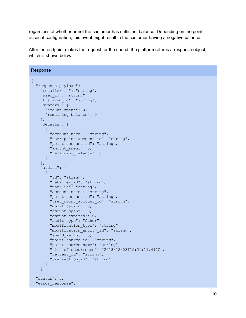regardless of whether or not the customer has sufficient balance. Depending on the point account configuration, this event might result in the customer having a negative balance.

After the endpoint makes the request for the spend, the platform returns a response object, which is shown below:

```
Response
{
 "response_payload": {
    "retailer id": "string",
    "user_id": "string",
   "tracking id": "string",
    "summary": {
      "amount spent": 0,
     "remaining_balance": 0
    },
    "details": [
     {
        "account name": "string",
       "user point account id": "string",
       "point_account_id": "string",
       "amount spent": 0,
       "remaining_balance": 0
     }
    \frac{1}{2},
    "audits": [
     \{"id": "string",
       "retailer_id": "string",
       "user_id": "string",
       "account name": "string",
        "point account id": "string",
        "user point account id": "string",
        "modification": 0,
        "amount spent": 0,
        "amount expired": 0,
        "audit type": "Other",
        "modification type": "string",
        "modification entity id": "string",
        "spend weight": 0,
        "point source id": "string",
        "point source name": "string",
        "time of occurrence": "2018-12-03T15:21:11.411Z",
        "request_id": "string",
        "transaction_id": "string"
      }
   ]
 },
 "status": 0,
 "error response": {
```